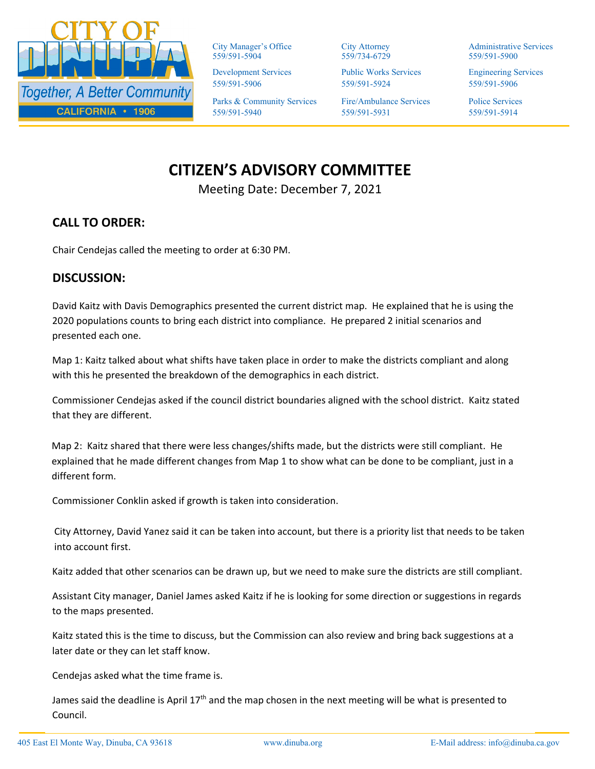

City Manager's Office 559/591-5904

Development Services 559/591-5906

Parks & Community Services 559/591-5940

City Attorney 559/734-6729

Public Works Services 559/591-5924

Fire/Ambulance Services 559/591-5931

Administrative Services 559/591-5900

Engineering Services 559/591-5906

Police Services 559/591-5914

## **CITIZEN'S ADVISORY COMMITTEE**

Meeting Date: December 7, 2021

## **CALL TO ORDER:**

Chair Cendejas called the meeting to order at 6:30 PM.

## **DISCUSSION:**

David Kaitz with Davis Demographics presented the current district map. He explained that he is using the 2020 populations counts to bring each district into compliance. He prepared 2 initial scenarios and presented each one.

Map 1: Kaitz talked about what shifts have taken place in order to make the districts compliant and along with this he presented the breakdown of the demographics in each district.

Commissioner Cendejas asked if the council district boundaries aligned with the school district. Kaitz stated that they are different.

Map 2: Kaitz shared that there were less changes/shifts made, but the districts were still compliant. He explained that he made different changes from Map 1 to show what can be done to be compliant, just in a different form.

Commissioner Conklin asked if growth is taken into consideration.

City Attorney, David Yanez said it can be taken into account, but there is a priority list that needs to be taken into account first.

Kaitz added that other scenarios can be drawn up, but we need to make sure the districts are still compliant.

Assistant City manager, Daniel James asked Kaitz if he is looking for some direction or suggestions in regards to the maps presented.

Kaitz stated this is the time to discuss, but the Commission can also review and bring back suggestions at a later date or they can let staff know.

Cendejas asked what the time frame is.

James said the deadline is April 17<sup>th</sup> and the map chosen in the next meeting will be what is presented to Council.